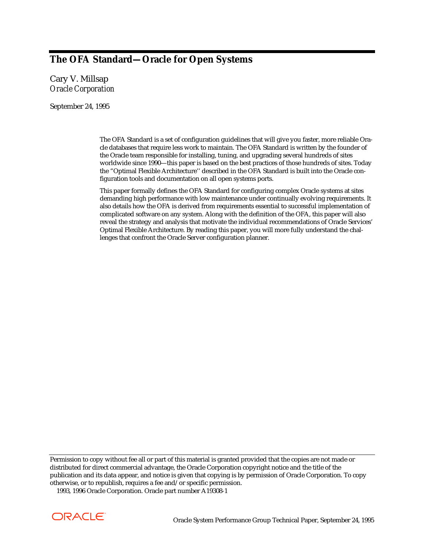# **The OFA Standard—Oracle for Open Systems**

Cary V. Millsap *Oracle Corporation*

September 24, 1995

The OFA Standard is a set of configuration guidelines that will give you faster, more reliable Oracle databases that require less work to maintain. The OFA Standard is written by the founder of the Oracle team responsible for installing, tuning, and upgrading several hundreds of sites worldwide since 1990—this paper is based on the best practices of those hundreds of sites. Today the "Optimal Flexible Architecture'' described in the OFA Standard is built into the Oracle configuration tools and documentation on all open systems ports.

This paper formally defines the OFA Standard for configuring complex Oracle systems at sites demanding high performance with low maintenance under continually evolving requirements. It also details how the OFA is derived from requirements essential to successful implementation of complicated software on any system. Along with the definition of the OFA, this paper will also reveal the strategy and analysis that motivate the individual recommendations of Oracle Services' Optimal Flexible Architecture. By reading this paper, you will more fully understand the challenges that confront the Oracle Server configuration planner.

Permission to copy without fee all or part of this material is granted provided that the copies are not made or distributed for direct commercial advantage, the Oracle Corporation copyright notice and the title of the publication and its data appear, and notice is given that copying is by permission of Oracle Corporation. To copy otherwise, or to republish, requires a fee and/or specific permission. 1993, 1996 Oracle Corporation. Oracle part number A19308-1

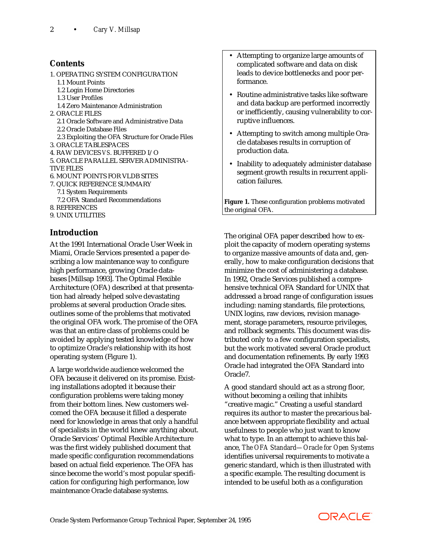# **Contents**

1. OPERATING SYSTEM CONFIGURATION 1.1 Mount Points 1.2 Login Home Directories 1.3 User Profiles 1.4 Zero Maintenance Administration 2. ORACLE FILES 2.1 Oracle Software and Administrative Data 2.2 Oracle Database Files 2.3 Exploiting the OFA Structure for Oracle Files 3. ORACLE TABLESPACES 4. RAW DEVICES *VS*. BUFFERED I/O 5. ORACLE PARALLEL SERVER ADMINISTRA-TIVE FILES 6. MOUNT POINTS FOR VLDB SITES 7. QUICK REFERENCE SUMMARY 7.1 System Requirements 7.2 OFA Standard Recommendations 8. REFERENCES 9. UNIX UTILITIES

# **Introduction**

At the 1991 International Oracle User Week in Miami, Oracle Services presented a paper describing a low maintenance way to configure high performance, growing Oracle databases [Millsap 1993]. The Optimal Flexible Architecture (OFA) described at that presentation had already helped solve devastating problems at several production Oracle sites. outlines some of the problems that motivated the original OFA work. The promise of the OFA was that an entire class of problems could be avoided by applying tested knowledge of how to optimize Oracle's relationship with its host operating system (Figure 1).

A large worldwide audience welcomed the OFA because it delivered on its promise. Existing installations adopted it because their configuration problems were taking money from their bottom lines. New customers welcomed the OFA because it filled a desperate need for knowledge in areas that only a handful of specialists in the world knew anything about. Oracle Services' Optimal Flexible Architecture was the first widely published document that made specific configuration recommendations based on actual field experience. The OFA has since become the world's most popular specification for configuring high performance, low maintenance Oracle database systems.

- Attempting to organize large amounts of complicated software and data on disk leads to device bottlenecks and poor performance.
- Routine administrative tasks like software and data backup are performed incorrectly or inefficiently, causing vulnerability to corruptive influences.
- Attempting to switch among multiple Oracle databases results in corruption of production data.
- Inability to adequately administer database segment growth results in recurrent application failures.

**Figure 1.** These configuration problems motivated the original OFA.

The original OFA paper described how to exploit the capacity of modern operating systems to organize massive amounts of data and, generally, how to make configuration decisions that minimize the cost of administering a database. In 1992, Oracle Services published a comprehensive technical OFA Standard for UNIX that addressed a broad range of configuration issues including: naming standards, file protections, UNIX logins, raw devices, revision management, storage parameters, resource privileges, and rollback segments. This document was distributed only to a few configuration specialists, but the work motivated several Oracle product and documentation refinements. By early 1993 Oracle had integrated the OFA Standard into Oracle7.

A good standard should act as a strong floor, without becoming a ceiling that inhibits "creative magic." Creating a useful standard requires its author to master the precarious balance between appropriate flexibility and actual usefulness to people who just want to know what to type. In an attempt to achieve this balance, *The OFA Standard—Oracle for Open Systems* identifies universal requirements to motivate a generic standard, which is then illustrated with a specific example. The resulting document is intended to be useful both as a configuration

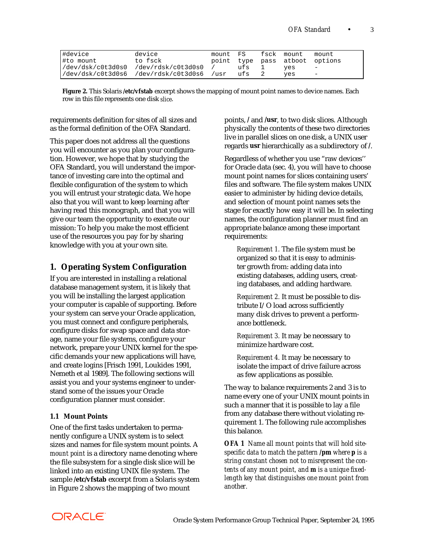| #device   | device                                        | mount FS |  | fsck mount                     | mount                    |
|-----------|-----------------------------------------------|----------|--|--------------------------------|--------------------------|
| #to mount | to fsck                                       |          |  | point type pass atboot options |                          |
|           | /dev/dsk/c0t3d0s0 /dev/rdsk/c0t3d0s0          | / ufs 1  |  | ves                            | $\overline{\phantom{0}}$ |
|           | /dev/dsk/c0t3d0s6 /dev/rdsk/c0t3d0s6 /usr ufs |          |  | ves                            | $\overline{\phantom{0}}$ |

**Figure 2.** This Solaris **/etc/vfstab** excerpt shows the mapping of mount point names to device names. Each row in this file represents one disk *slice*.

requirements definition for sites of all sizes and as the formal definition of the OFA Standard.

This paper does not address all the questions you will encounter as you plan your configuration. However, we hope that by studying the OFA Standard, you will understand the importance of investing care into the optimal and flexible configuration of the system to which you will entrust your strategic data. We hope also that you will want to keep learning after having read this monograph, and that you will give our team the opportunity to execute our mission: To help you make the most efficient use of the resources you pay for by sharing knowledge with you at your own site.

# **1. Operating System Configuration**

If you are interested in installing a relational database management system, it is likely that you will be installing the largest application your computer is capable of supporting. Before your system can serve your Oracle application, you must connect and configure peripherals, configure disks for swap space and data storage, name your file systems, configure your network, prepare your UNIX kernel for the specific demands your new applications will have, and create logins [Frisch 1991, Loukides 1991, Nemeth et al 1989]. The following sections will assist you and your systems engineer to understand some of the issues your Oracle configuration planner must consider.

#### **1.1 Mount Points**

One of the first tasks undertaken to permanently configure a UNIX system is to select sizes and names for file system mount points. A *mount point* is a directory name denoting where the file subsystem for a single disk slice will be linked into an existing UNIX file system. The sample **/etc/vfstab** excerpt from a Solaris system in Figure 2 shows the mapping of two mount

points, **/** and **/usr**, to two disk slices. Although physically the contents of these two directories live in parallel slices on one disk, a UNIX user regards **usr** hierarchically as a subdirectory of **/**.

Regardless of whether you use "raw devices'' for Oracle data (sec. 4), you will have to choose mount point names for slices containing users' files and software. The file system makes UNIX easier to administer by hiding device details, and selection of mount point names sets the stage for exactly how easy it will be. In selecting names, the configuration planner must find an appropriate balance among these important requirements:

*Requirement 1.* The file system must be organized so that it is easy to administer growth from: adding data into existing databases, adding users, creating databases, and adding hardware.

*Requirement 2.* It must be possible to distribute I/O load across sufficiently many disk drives to prevent a performance bottleneck.

*Requirement 3.* It may be necessary to minimize hardware cost.

*Requirement 4.* It may be necessary to isolate the impact of drive failure across as few applications as possible.

The way to balance requirements 2 and 3 is to name every one of your UNIX mount points in such a manner that it is possible to lay a file from any database there without violating requirement 1. The following rule accomplishes this balance.

*OFA 1 Name all mount points that will hold sitespecific data to match the pattern /pm where p is a string constant chosen not to misrepresent the contents of any mount point, and m is a unique fixedlength key that distinguishes one mount point from another.*

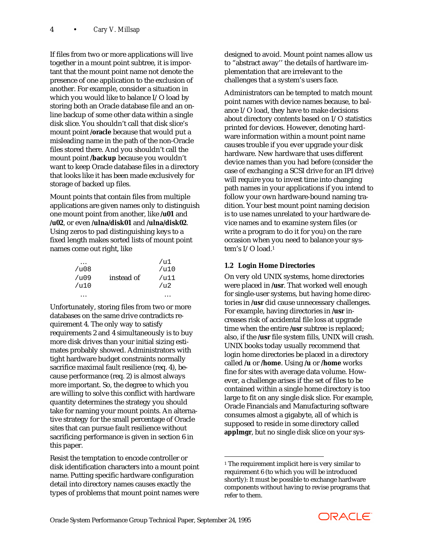If files from two or more applications will live together in a mount point subtree, it is important that the mount point name not denote the presence of one application to the exclusion of another. For example, consider a situation in which you would like to balance I/O load by storing both an Oracle database file and an online backup of some other data within a single disk slice. You shouldn't call that disk slice's mount point **/oracle** because that would put a misleading name in the path of the non-Oracle files stored there. And you shouldn't call the mount point **/backup** because you wouldn't want to keep Oracle database files in a directory that looks like it has been made exclusively for storage of backed up files.

Mount points that contain files from multiple applications are given names only to distinguish one mount point from another, like **/u01** and **/u02**, or even **/ulna/disk01** and **/ulna/disk02**. Using zeros to pad distinguishing keys to a fixed length makes sorted lists of mount point names come out right, like

| /u08  |            | /u1<br>/u10     |
|-------|------------|-----------------|
| /1109 | instead of | /u11            |
| /u10  |            | / <sub>u2</sub> |
|       |            |                 |

Unfortunately, storing files from two or more databases on the same drive contradicts requirement 4. The only way to satisfy requirements 2 and 4 simultaneously is to buy more disk drives than your initial sizing estimates probably showed. Administrators with tight hardware budget constraints normally sacrifice maximal fault resilience (req. 4), because performance (req. 2) is almost always more important. So, the degree to which you are willing to solve this conflict with hardware quantity determines the strategy you should take for naming your mount points. An alternative strategy for the small percentage of Oracle sites that can pursue fault resilience without sacrificing performance is given in section 6 in this paper.

Resist the temptation to encode controller or disk identification characters into a mount point name. Putting specific hardware configuration detail into directory names causes exactly the types of problems that mount point names were

designed to avoid. Mount point names allow us to "abstract away'' the details of hardware implementation that are irrelevant to the challenges that a system's users face.

Administrators can be tempted to match mount point names with device names because, to balance I/O load, they have to make decisions about directory contents based on I/O statistics printed for devices. However, denoting hardware information within a mount point name causes trouble if you ever upgrade your disk hardware. New hardware that uses different device names than you had before (consider the case of exchanging a SCSI drive for an IPI drive) will require you to invest time into changing path names in your applications if you intend to follow your own hardware-bound naming tradition. Your best mount point naming decision is to use names unrelated to your hardware device names and to examine system files (or write a program to do it for you) on the rare occasion when you need to balance your system's I/O load.1

# **1.2 Login Home Directories**

On very old UNIX systems, home directories were placed in **/usr**. That worked well enough for single-user systems, but having home directories in **/usr** did cause unnecessary challenges. For example, having directories in **/usr** increases risk of accidental file loss at upgrade time when the entire **/usr** subtree is replaced; also, if the **/usr** file system fills, UNIX will crash. UNIX books today usually recommend that login home directories be placed in a directory called **/u** or **/home**. Using **/u** or **/home** works fine for sites with average data volume. However, a challenge arises if the set of files to be contained within a single home directory is too large to fit on any single disk slice. For example, Oracle Financials and Manufacturing software consumes almost a gigabyte, all of which is supposed to reside in some directory called **applmgr**, but no single disk slice on your sys-



<sup>1</sup> The requirement implicit here is very similar to requirement 6 (to which you will be introduced shortly): It must be possible to exchange hardware components without having to revise programs that refer to them.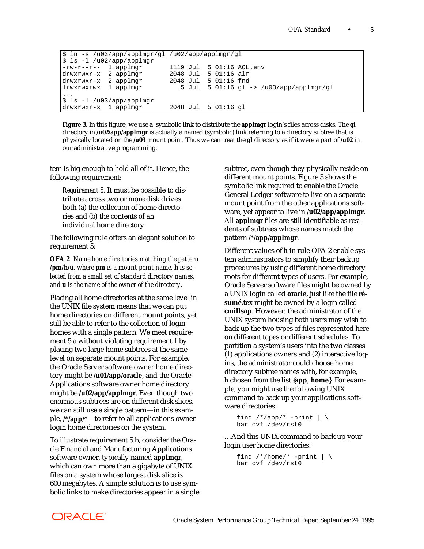```
$ ln -s /u03/app/applmgr/gl /u02/app/applmgr/gl
$ ls -l /u02/app/applmgr
-rw-r--r-- 1 applmgr 1119 Jul 5 01:16 AOL.env
-rw-r--r-- 1 applmgr<br>drwxrwxr-x 2 applmgr
drwxrwxr-x 2 applmgr<br>1rwxrwxrwx 1 applmgr
lrwxrwxrwx 1 applmgr 5 Jul 5 01:16 gl -> /u03/app/applmgr/gl
...
$ ls -l /u03/app/applmgr
drwxrwxr-x 1 applmgr 2048 Jul 5 01:16 gl
```
**Figure 3.** In this figure, we use a symbolic link to distribute the **applmgr** login's files across disks. The **gl** directory in **/u02/app/applmgr** is actually a named (symbolic) link referring to a directory subtree that is physically located on the **/u03** mount point. Thus we can treat the **gl** directory as if it were a part of **/u02** in our administrative programming.

tem is big enough to hold all of it. Hence, the following requirement:

*Requirement 5.* It must be possible to distribute across two or more disk drives both (a) the collection of home directories and (b) the contents of an individual home directory.

The following rule offers an elegant solution to requirement 5:

*OFA 2 Name home directories matching the pattern /pm/h/u, where pm is a mount point name, h is selected from a small set of standard directory names, and u is the name of the owner of the directory.*

Placing all home directories at the same level in the UNIX file system means that we can put home directories on different mount points, yet still be able to refer to the collection of login homes with a single pattern. We meet requirement 5.a without violating requirement 1 by placing two large home subtrees at the same level on separate mount points. For example, the Oracle Server software owner home directory might be **/u01/app/oracle**, and the Oracle Applications software owner home directory might be **/u02/app/applmgr**. Even though two enormous subtrees are on different disk slices, we can still use a single pattern—in this example, **/\*/app/\***—to refer to all applications owner login home directories on the system.

To illustrate requirement 5.b, consider the Oracle Financial and Manufacturing Applications software owner, typically named **applmgr**, which can own more than a gigabyte of UNIX files on a system whose largest disk slice is 600 megabytes. A simple solution is to use symbolic links to make directories appear in a single subtree, even though they physically reside on different mount points. Figure 3 shows the symbolic link required to enable the Oracle General Ledger software to live on a separate mount point from the other applications software, yet appear to live in **/u02/app/applmgr**. All **applmgr** files are still identifiable as residents of subtrees whose names match the pattern **/\*/app/applmgr**.

Different values of *h* in rule OFA 2 enable system administrators to simplify their backup procedures by using different home directory roots for different types of users. For example, Oracle Server software files might be owned by a UNIX login called **oracle**, just like the file **résumé.tex** might be owned by a login called **cmillsap**. However, the administrator of the UNIX system housing both users may wish to back up the two types of files represented here on different tapes or different schedules. To partition a system's users into the two classes (1) applications owners and (2) interactive logins, the administrator could choose home directory subtree names with, for example, *h* chosen from the list {**app**, **home**}. For example, you might use the following UNIX command to back up your applications software directories:

```
find /*/app/* -print | \ \ranglebar cvf /dev/rst0
```
…And this UNIX command to back up your login user home directories:

```
find /*/home/* -print |\n\iintbar cvf /dev/rst0
```
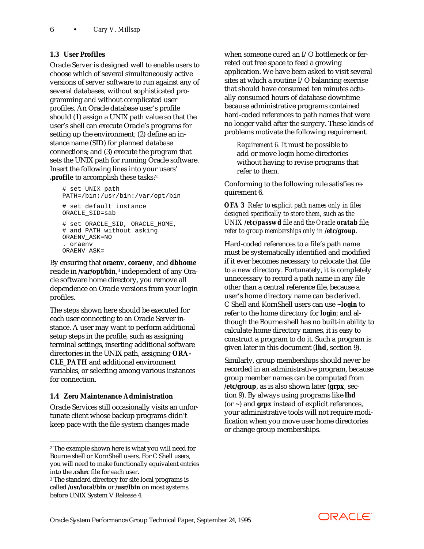# **1.3 User Profiles**

Oracle Server is designed well to enable users to choose which of several simultaneously active versions of server software to run against any of several databases, without sophisticated programming and without complicated user profiles. An Oracle database user's profile should (1) assign a UNIX path value so that the user's shell can execute Oracle's programs for setting up the environment; (2) define an instance name (SID) for planned database connections; and (3) execute the program that sets the UNIX path for running Oracle software. Insert the following lines into your users' **.profile** to accomplish these tasks:2

```
# set UNIX path
PATH=/bin:/usr/bin:/var/opt/bin
# set default instance
ORACLE_SID=sab
# set ORACLE_SID, ORACLE_HOME,
# and PATH without asking
ORAENV_ASK=NO
. oraenv
ORAENV_ASK=
```
By ensuring that **oraenv**, **coraenv**, and **dbhome** reside in /**var/opt/bin**,<sup>3</sup> independent of any Oracle software home directory, you remove all dependence on Oracle versions from your login profiles.

The steps shown here should be executed for each user connecting to an Oracle Server instance. A user may want to perform additional setup steps in the profile, such as assigning terminal settings, inserting additional software directories in the UNIX path, assigning **ORA-CLE\_PATH** and additional environment variables, or selecting among various instances for connection.

# **1.4 Zero Maintenance Administration**

 $\overline{a}$ 

Oracle Services still occasionally visits an unfortunate client whose backup programs didn't keep pace with the file system changes made

when someone cured an I/O bottleneck or ferreted out free space to feed a growing application. We have been asked to visit several sites at which a routine I/O balancing exercise that should have consumed ten minutes actually consumed hours of database downtime because administrative programs contained hard-coded references to path names that were no longer valid after the surgery. These kinds of problems motivate the following requirement.

*Requirement 6.* It must be possible to add or move login home directories without having to revise programs that refer to them.

Conforming to the following rule satisfies requirement 6.

*OFA 3 Refer to explicit path names only in files designed specifically to store them, such as the UNIX /etc/passwd file and the Oracle oratab file; refer to group memberships only in /etc/group.*

Hard-coded references to a file's path name must be systematically identified and modified if it ever becomes necessary to relocate that file to a new directory. Fortunately, it is completely unnecessary to record a path name in any file other than a central reference file, because a user's home directory name can be derived. C Shell and KornShell users can use **~***login* to refer to the home directory for *login*; and although the Bourne shell has no built-in ability to calculate home directory names, it is easy to construct a program to do it. Such a program is given later in this document (**lhd**, section 9).

Similarly, group memberships should never be recorded in an administrative program, because group member names can be computed from **/etc/group**, as is also shown later (**grpx**, section 9). By always using programs like **lhd** (or **~**) and **grpx** instead of explicit references, your administrative tools will not require modification when you move user home directories or change group memberships.



<sup>2</sup> The example shown here is what you will need for Bourne shell or KornShell users. For C Shell users, you will need to make functionally equivalent entries into the **.cshrc** file for each user.

<sup>3</sup> The standard directory for site local programs is called **/usr/local/bin** or **/usr/lbin** on most systems before UNIX System V Release 4.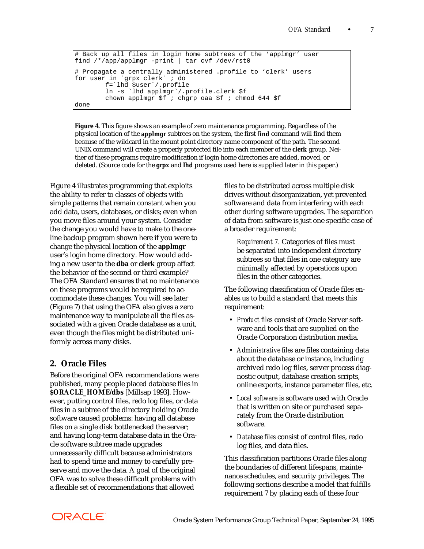```
# Back up all files in login home subtrees of the 'applmgr' user
find /*/app/applmgr -print | tar cvf /dev/rst0
# Propagate a centrally administered .profile to 'clerk' users
for user in `grpx clerk` ; do
         f=`lhd $user`/.profile
         ln -s `lhd applmgr`/.profile.clerk $f
         chown applmgr $f ; chgrp oaa $f ; chmod 644 $f
done
```
**Figure 4.** This figure shows an example of zero maintenance programming. Regardless of the physical location of the **applmgr** subtrees on the system, the first **find** command will find them because of the wildcard in the mount point directory name component of the path. The second UNIX command will create a properly protected file into each member of the **clerk** group. Neither of these programs require modification if login home directories are added, moved, or deleted. (Source code for the **grpx** and **lhd** programs used here is supplied later in this paper.)

Figure 4 illustrates programming that exploits the ability to refer to classes of objects with simple patterns that remain constant when you add data, users, databases, or disks; even when you move files around your system. Consider the change you would have to make to the oneline backup program shown here if you were to change the physical location of the **applmgr** user's login home directory. How would adding a new user to the **dba** or **clerk** group affect the behavior of the second or third example? The OFA Standard ensures that no maintenance on these programs would be required to accommodate these changes. You will see later (Figure 7) that using the OFA also gives a zero maintenance way to manipulate all the files associated with a given Oracle database as a unit, even though the files might be distributed uniformly across many disks.

# **2. Oracle Files**

Before the original OFA recommendations were published, many people placed database files in **\$ORACLE\_HOME/dbs** [Millsap 1993]. However, putting control files, redo log files, or data files in a subtree of the directory holding Oracle software caused problems: having all database files on a single disk bottlenecked the server; and having long-term database data in the Oracle software subtree made upgrades unnecessarily difficult because administrators had to spend time and money to carefully preserve and move the data. A goal of the original OFA was to solve these difficult problems with a flexible set of recommendations that allowed

files to be distributed across multiple disk drives without disorganization, yet prevented software and data from interfering with each other during software upgrades. The separation of data from software is just one specific case of a broader requirement:

*Requirement 7.* Categories of files must be separated into independent directory subtrees so that files in one category are minimally affected by operations upon files in the other categories.

The following classification of Oracle files enables us to build a standard that meets this requirement:

- *Product files* consist of Oracle Server software and tools that are supplied on the Oracle Corporation distribution media.
- *Administrative files* are files containing data about the database or instance, including archived redo log files, server process diagnostic output, database creation scripts, online exports, instance parameter files, etc.
- *Local software* is software used with Oracle that is written on site or purchased separately from the Oracle distribution software.
- *Database files* consist of control files, redo log files, and data files.

This classification partitions Oracle files along the boundaries of different lifespans, maintenance schedules, and security privileges. The following sections describe a model that fulfills requirement 7 by placing each of these four

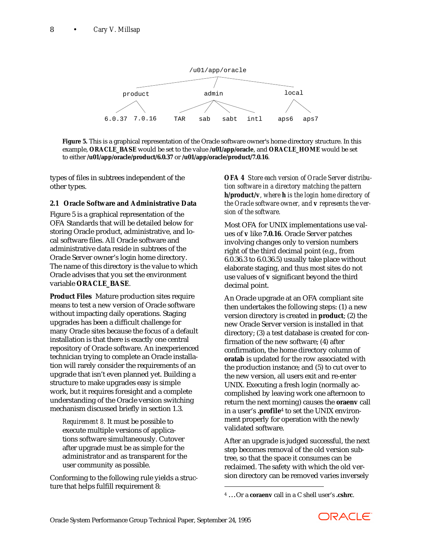

**Figure 5.** This is a graphical representation of the Oracle software owner's home directory structure. In this example, **ORACLE\_BASE** would be set to the value **/u01/app/oracle**, and **ORACLE\_HOME** would be set to either **/u01/app/oracle/product/6.0.37** or **/u01/app/oracle/product/7.0.16**.

types of files in subtrees independent of the other types.

## **2.1 Oracle Software and Administrative Data**

Figure 5 is a graphical representation of the OFA Standards that will be detailed below for storing Oracle product, administrative, and local software files. All Oracle software and administrative data reside in subtrees of the Oracle Server owner's login home directory. The name of this directory is the value to which Oracle advises that you set the environment variable **ORACLE\_BASE**.

**Product Files** Mature production sites require means to test a new version of Oracle software without impacting daily operations. Staging upgrades has been a difficult challenge for many Oracle sites because the focus of a default installation is that there is exactly one central repository of Oracle software. An inexperienced technician trying to complete an Oracle installation will rarely consider the requirements of an upgrade that isn't even planned yet. Building a structure to make upgrades easy is simple work, but it requires foresight and a complete understanding of the Oracle version switching mechanism discussed briefly in section 1.3.

*Requirement 8.* It must be possible to execute multiple versions of applications software simultaneously. Cutover after upgrade must be as simple for the administrator and as transparent for the user community as possible.

Conforming to the following rule yields a structure that helps fulfill requirement 8:

*OFA 4 Store each version of Oracle Server distribution software in a directory matching the pattern h/product/v, where h is the login home directory of the Oracle software owner, and v represents the version of the software.*

Most OFA for UNIX implementations use values of *v* like **7.0.16**. Oracle Server patches involving changes only to version numbers right of the third decimal point (e.g., from 6.0.36.3 to 6.0.36.5) usually take place without elaborate staging, and thus most sites do not use values of *v* significant beyond the third decimal point.

An Oracle upgrade at an OFA compliant site then undertakes the following steps: (1) a new version directory is created in **product**; (2) the new Oracle Server version is installed in that directory; (3) a test database is created for confirmation of the new software; (4) after confirmation, the home directory column of **oratab** is updated for the row associated with the production instance; and (5) to cut over to the new version, all users exit and re-enter UNIX. Executing a fresh login (normally accomplished by leaving work one afternoon to return the next morning) causes the **oraenv** call in a user's **.profile**4 to set the UNIX environment properly for operation with the newly validated software.

After an upgrade is judged successful, the next step becomes removal of the old version subtree, so that the space it consumes can be reclaimed. The safety with which the old version directory can be removed varies inversely



<sup>4 …</sup>Or a **coraenv** call in a C shell user's **.cshrc**.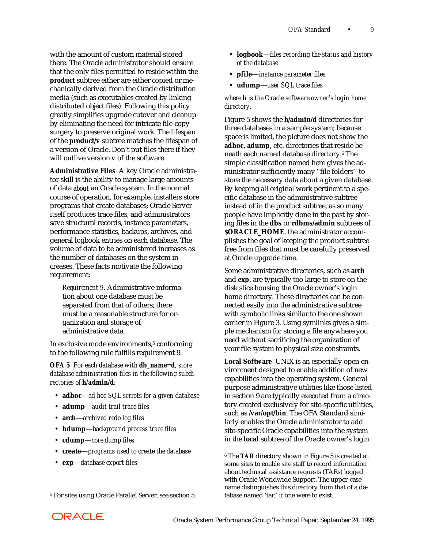with the amount of custom material stored there. The Oracle administrator should ensure that the only files permitted to reside within the **product** subtree either are either copied or mechanically derived from the Oracle distribution media (such as executables created by linking distributed object files). Following this policy greatly simplifies upgrade cutover and cleanup by eliminating the need for intricate file-copy surgery to preserve original work. The lifespan of the **product/***v* subtree matches the lifespan of a version of Oracle. Don't put files there if they will outlive version *v* of the software.

**Administrative Files** A key Oracle administrator skill is the ability to manage large amounts of data *about* an Oracle system. In the normal course of operation, for example, installers store programs that create databases; Oracle Server itself produces trace files; and administrators save structural records, instance parameters, performance statistics, backups, archives, and general logbook entries on each database. The volume of data to be administered increases as the number of databases on the system increases. These facts motivate the following requirement:

*Requirement 9.* Administrative information about one database must be separated from that of others; there must be a reasonable structure for organization and storage of administrative data.

In exclusive mode environments,<sup>5</sup> conforming to the following rule fulfills requirement 9.

*OFA 5 For each database with db\_name=d, store database administration files in the following subdirectories of h/admin/d:*

- **adhoc**—*ad hoc SQL scripts for a given database*
- **adump**—*audit trail trace files*
- **arch**—*archived redo log files*
- **bdump**—*background process trace files*
- **cdump**—*core dump files*
- **create**—*programs used to create the database*
- **exp**—*database export files*
- **logbook**—*files recording the status and history of the database*
- **pfile**—*instance parameter files*
- **udump**—*user SQL trace files*

*where h is the Oracle software owner's login home directory.*

Figure 5 shows the *h***/admin/***d* directories for three databases in a sample system; because space is limited, the picture does not show the **adhoc**, **adump**, etc. directories that reside beneath each named database directory.6 The simple classification named here gives the administrator sufficiently many "file folders'' to store the necessary data about a given database. By keeping all original work pertinent to a specific database in the administrative subtree instead of in the product subtree, as so many people have implicitly done in the past by storing files in the **dbs** or **rdbms/admin** subtrees of **\$ORACLE\_HOME**, the administrator accomplishes the goal of keeping the product subtree free from files that must be carefully preserved at Oracle upgrade time.

Some administrative directories, such as **arch** and **exp**, are typically too large to store on the disk slice housing the Oracle owner's login home directory. These directories can be connected easily into the administrative subtree with symbolic links similar to the one shown earlier in Figure 3. Using symlinks gives a simple mechanism for storing a file anywhere you need without sacrificing the organization of your file system to physical size constraints.

**Local Software** UNIX is an especially open environment designed to enable addition of new capabilities into the operating system. General purpose administrative utilities like those listed in section 9 are typically executed from a directory created exclusively for site-specific utilities, such as **/var/opt/bin**. The OFA Standard similarly enables the Oracle administrator to add site-specific Oracle capabilities into the system in the **local** subtree of the Oracle owner's login

 $\overline{a}$ 

<sup>5</sup> For sites using Oracle Parallel Server, see section 5.

<sup>6</sup> The **TAR** directory shown in Figure 5 is created at some sites to enable site staff to record information about technical assistance requests (TARs) logged with Oracle Worldwide Support. The upper-case name distinguishes this directory from that of a database named 'tar,' if one were to exist.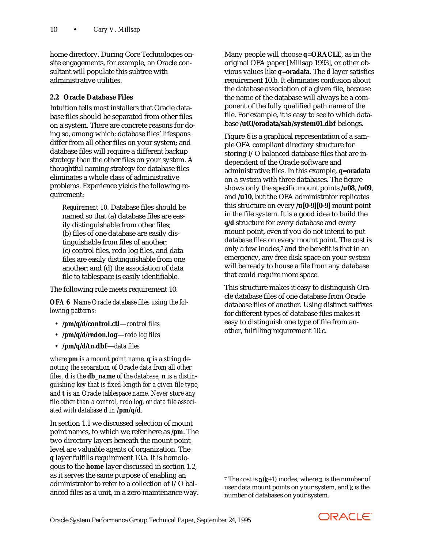home directory. During Core Technologies onsite engagements, for example, an Oracle consultant will populate this subtree with administrative utilities.

# **2.2 Oracle Database Files**

Intuition tells most installers that Oracle database files should be separated from other files on a system. There are concrete reasons for doing so, among which: database files' lifespans differ from all other files on your system; and database files will require a different backup strategy than the other files on your system. A thoughtful naming strategy for database files eliminates a whole class of administrative problems. Experience yields the following requirement:

*Requirement 10.* Database files should be named so that (a) database files are easily distinguishable from other files; (b) files of one database are easily distinguishable from files of another; (c) control files, redo log files, and data files are easily distinguishable from one another; and (d) the association of data file to tablespace is easily identifiable.

The following rule meets requirement 10:

*OFA 6 Name Oracle database files using the following patterns:*

- **/***pm***/***q***/***d***/control.ctl**—*control files*
- **/***pm***/***q***/***d***/redo***n***.log**—*redo log files*
- **/***pm***/***q***/***d***/***tn***.dbf**—*data files*

*where pm is a mount point name, q is a string denoting the separation of Oracle data from all other files, d is the db\_name of the database, n is a distinguishing key that is fixed-length for a given file type, and t is an Oracle tablespace name. Never store any file other than a control, redo log, or data file associated with database d in /pm/q/d.*

In section 1.1 we discussed selection of mount point names, to which we refer here as **/***pm*. The two directory layers beneath the mount point level are valuable agents of organization. The *q* layer fulfills requirement 10.a. It is homologous to the **home** layer discussed in section 1.2, as it serves the same purpose of enabling an administrator to refer to a collection of I/O balanced files as a unit, in a zero maintenance way. Many people will choose *q*=**ORACLE**, as in the original OFA paper [Millsap 1993], or other obvious values like *q*=**oradata**. The *d* layer satisfies requirement 10.b. It eliminates confusion about the database association of a given file, because the name of the database will always be a component of the fully qualified path name of the file. For example, it is easy to see to which database **/u03/oradata/sab/system01.dbf** belongs.

Figure 6 is a graphical representation of a sample OFA compliant directory structure for storing I/O balanced database files that are independent of the Oracle software and administrative files. In this example, *q*=**oradata** on a system with three databases. The figure shows only the specific mount points **/u08**, **/u09**, and **/u10**, but the OFA administrator replicates this structure on every **/u[0-9][0-9]** mount point in the file system. It is a good idea to build the *q***/***d* structure for every database and every mount point, even if you do not intend to put database files on every mount point. The cost is only a few inodes,7 and the benefit is that in an emergency, any free disk space on your system will be ready to house a file from any database that could require more space.

This structure makes it easy to distinguish Oracle database files of one database from Oracle database files of another. Using distinct suffixes for different types of database files makes it easy to distinguish one type of file from another, fulfilling requirement 10.c.



<sup>&</sup>lt;sup>7</sup> The cost is  $n(k+1)$  inodes, where *n* is the number of user data mount points on your system, and *k* is the number of databases on your system.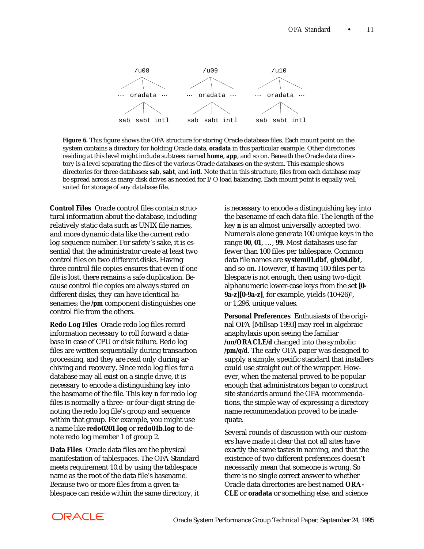

**Figure 6.** This figure shows the OFA structure for storing Oracle database files. Each mount point on the system contains a directory for holding Oracle data, **oradata** in this particular example. Other directories residing at this level might include subtrees named **home**, **app**, and so on. Beneath the Oracle data directory is a level separating the files of the various Oracle databases on the system. This example shows directories for three databases: **sab**, **sabt**, and **intl**. Note that in this structure, files from each database may be spread across as many disk drives as needed for I/O load balancing. Each mount point is equally well suited for storage of any database file.

**Control Files** Oracle control files contain structural information about the database, including relatively static data such as UNIX file names, and more dynamic data like the current redo log sequence number. For safety's sake, it is essential that the administrator create at least two control files on two different disks. Having three control file copies ensures that even if one file is lost, there remains a safe duplication. Because control file copies are always stored on different disks, they can have identical basenames; the **/***pm* component distinguishes one control file from the others.

**Redo Log Files** Oracle redo log files record information necessary to roll forward a database in case of CPU or disk failure. Redo log files are written sequentially during transaction processing, and they are read only during archiving and recovery. Since redo log files for a database may all exist on a single drive, it is necessary to encode a distinguishing key into the basename of the file. This key *n* for redo log files is normally a three- or four-digit string denoting the redo log file's group and sequence within that group. For example, you might use a name like **redo0201.log** or **redo01b.log** to denote redo log member 1 of group 2.

**Data Files** Oracle data files are the physical manifestation of tablespaces. The OFA Standard meets requirement 10.d by using the tablespace name as the root of the data file's basename. Because two or more files from a given tablespace can reside within the same directory, it

is necessary to encode a distinguishing key into the basename of each data file. The length of the key *n* is an almost universally accepted two. Numerals alone generate 100 unique keys in the range **00**, **01**, …, **99**. Most databases use far fewer than 100 files per tablespace. Common data file names are **system01.dbf**, **glx04.dbf**, and so on. However, if having 100 files per tablespace is not enough, then using two-digit alphanumeric lower-case keys from the set **[0- 9a-z][0-9a-z]**, for example, yields (10+26)2, or 1,296, unique values.

**Personal Preferences** Enthusiasts of the original OFA [Millsap 1993] may reel in algebraic anaphylaxis upon seeing the familiar **/u***n***/ORACLE/***d* changed into the symbolic **/***pm***/***q***/***d*. The early OFA paper was designed to supply a simple, specific standard that installers could use straight out of the wrapper. However, when the material proved to be popular enough that administrators began to construct site standards around the OFA recommendations, the simple way of expressing a directory name recommendation proved to be inadequate.

Several rounds of discussion with our customers have made it clear that not all sites have exactly the same tastes in naming, and that the existence of two different preferences doesn't necessarily mean that someone is wrong. So there is no single correct answer to whether Oracle data directories are best named **ORA-CLE** or **oradata** or something else, and science

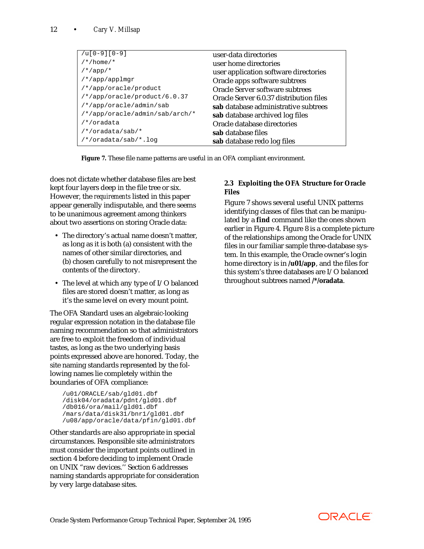| $/u[0-9][0-9]$                 | user-data directories                   |
|--------------------------------|-----------------------------------------|
| $/*$ /home/*                   |                                         |
|                                | user home directories                   |
| $/*$ /app/*                    | user application software directories   |
| /*/app/applmgr                 | Oracle apps software subtrees           |
| /*/app/oracle/product          | Oracle Server software subtrees         |
| $/*/app/oracle/product/6.0.37$ | Oracle Server 6.0.37 distribution files |
| /*/app/oracle/admin/sab        | sab database administrative subtrees    |
| /*/app/oracle/admin/sab/arch/* | sab database archived log files         |
| /*/oradata                     | Oracle database directories             |
| /*/oradata/sab/*               | sab database files                      |
| /*/oradata/sab/*.log           | sab database redo log files             |

**Figure 7.** These file name patterns are useful in an OFA compliant environment.

does not dictate whether database files are best kept four layers deep in the file tree or six. However, the *requirements* listed in this paper appear generally indisputable, and there seems to be unanimous agreement among thinkers about two assertions on storing Oracle data:

- The directory's actual name doesn't matter, as long as it is both (a) consistent with the names of other similar directories, and (b) chosen carefully to not misrepresent the contents of the directory.
- The level at which any type of I/O balanced files are stored doesn't matter, as long as it's the same level on every mount point.

The OFA Standard uses an algebraic-looking regular expression notation in the database file naming recommendation so that administrators are free to exploit the freedom of individual tastes, as long as the two underlying basis points expressed above are honored. Today, the site naming standards represented by the following names lie completely within the boundaries of OFA compliance:

```
/u01/ORACLE/sab/gld01.dbf
/disk04/oradata/pdnt/gld01.dbf
/db016/ora/mail/gld01.dbf
/mars/data/disk31/bnr1/gld01.dbf
/u08/app/oracle/data/pfin/gld01.dbf
```
Other standards are also appropriate in special circumstances. Responsible site administrators must consider the important points outlined in section 4 before deciding to implement Oracle on UNIX "raw devices.'' Section 6 addresses naming standards appropriate for consideration by very large database sites.

# **2.3 Exploiting the OFA Structure for Oracle Files**

Figure 7 shows several useful UNIX patterns identifying classes of files that can be manipulated by a **find** command like the ones shown earlier in Figure 4. Figure 8 is a complete picture of the relationships among the Oracle for UNIX files in our familiar sample three-database system. In this example, the Oracle owner's login home directory is in **/u01/app**, and the files for this system's three databases are I/O balanced throughout subtrees named **/\*/oradata**.

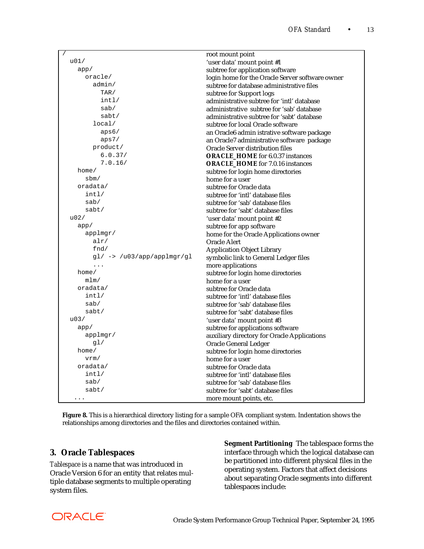| $\sqrt{2}$                     | root mount point                                       |
|--------------------------------|--------------------------------------------------------|
| u01/                           | 'user data' mount point #1                             |
| app/                           | subtree for application software                       |
| oracle/                        | login home for the Oracle Server software owner        |
| $\text{admin}/$                | subtree for database administrative files              |
| TAR/                           | subtree for Support logs                               |
| int1/                          | administrative subtree for 'intl' database             |
| sab/                           | administrative subtree for 'sab' database              |
| sabt/                          | administrative subtree for 'sabt' database             |
| local/                         | subtree for local Oracle software                      |
| aps6/                          | an Oracle6 admin istrative software package            |
| aps7/                          | an Oracle <sub>7</sub> administrative software package |
| product/                       | Oracle Server distribution files                       |
| 6.0.37/                        | <b>ORACLE HOME</b> for 6.0.37 instances                |
| 7.0.16/                        | <b>ORACLE HOME</b> for 7.0.16 instances                |
| home/                          | subtree for login home directories                     |
| sbm/                           | home for a user                                        |
| oradata/                       | subtree for Oracle data                                |
| int1/                          | subtree for 'intl' database files                      |
| sab/                           | subtree for 'sab' database files                       |
| sabt/                          | subtree for 'sabt' database files                      |
| u02/                           | 'user data' mount point #2                             |
| app/                           | subtree for app software                               |
| applmgr/                       | home for the Oracle Applications owner                 |
| alr/                           | Oracle Alert                                           |
| fnd $\sqrt{}$                  | <b>Application Object Library</b>                      |
| $gl/$ -> $/u03/app/applmgr/gl$ | symbolic link to General Ledger files                  |
| $\ldots$                       | more applications                                      |
| home/                          | subtree for login home directories                     |
| mlm/                           | home for a user                                        |
| oradata/                       | subtree for Oracle data                                |
| int1/                          | subtree for 'intl' database files                      |
| sab/                           | subtree for 'sab' database files                       |
| sabt/                          | subtree for 'sabt' database files                      |
| u03/                           | 'user data' mount point #3                             |
| app/                           | subtree for applications software                      |
| applmgr/                       | auxiliary directory for Oracle Applications            |
| g1/                            | <b>Oracle General Ledger</b>                           |
| home/                          | subtree for login home directories                     |
| vrm/                           | home for a user                                        |
| oradata/                       | subtree for Oracle data                                |
| int1/                          | subtree for 'intl' database files                      |
| sab/                           | subtree for 'sab' database files                       |
| sabt/                          | subtree for 'sabt' database files                      |
| .                              | more mount points, etc.                                |

**Figure 8.** This is a hierarchical directory listing for a sample OFA compliant system. Indentation shows the relationships among directories and the files and directories contained within.

# **3. Oracle Tablespaces**

*Tablespace* is a name that was introduced in Oracle Version 6 for an entity that relates multiple database segments to multiple operating system files.

**Segment Partitioning** The tablespace forms the interface through which the logical database can be partitioned into different physical files in the operating system. Factors that affect decisions about separating Oracle segments into different tablespaces include:

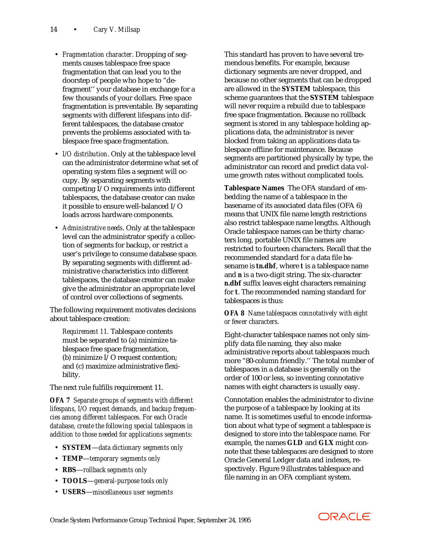- *Fragmentation character*. Dropping of segments causes tablespace free space fragmentation that can lead you to the doorstep of people who hope to "defragment'' your database in exchange for a few thousands of your dollars. Free space fragmentation is preventable. By separating segments with different lifespans into different tablespaces, the database creator prevents the problems associated with tablespace free space fragmentation.
- *I/O distribution*. Only at the tablespace level can the administrator determine what set of operating system files a segment will occupy. By separating segments with competing I/O requirements into different tablespaces, the database creator can make it possible to ensure well-balanced I/O loads across hardware components.
- *Administrative needs*. Only at the tablespace level can the administrator specify a collection of segments for backup, or restrict a user's privilege to consume database space. By separating segments with different administrative characteristics into different tablespaces, the database creator can make give the administrator an appropriate level of control over collections of segments.

The following requirement motivates decisions about tablespace creation:

*Requirement 11.* Tablespace contents must be separated to (a) minimize tablespace free space fragmentation, (b) minimize I/O request contention; and (c) maximize administrative flexibility.

The next rule fulfills requirement 11.

*OFA 7 Separate groups of segments with different lifespans, I/O request demands, and backup frequencies among different tablespaces. For each Oracle database, create the following special tablespaces in addition to those needed for applications segments:*

- **SYSTEM**—*data dictionary segments only*
- **TEMP**—*temporary segments only*
- **RBS**—*rollback segments only*
- **TOOLS**—*general-purpose tools only*
- **USERS**—*miscellaneous user segments*

This standard has proven to have several tremendous benefits. For example, because dictionary segments are never dropped, and because no other segments that can be dropped are allowed in the **SYSTEM** tablespace, this scheme guarantees that the **SYSTEM** tablespace will never require a rebuild due to tablespace free space fragmentation. Because no rollback segment is stored in any tablespace holding applications data, the administrator is never blocked from taking an applications data tablespace offline for maintenance. Because segments are partitioned physically by type, the administrator can record and predict data volume growth rates without complicated tools.

**Tablespace Names** The OFA standard of embedding the name of a tablespace in the basename of its associated data files (OFA 6) means that UNIX file name length restrictions also restrict tablespace name lengths. Although Oracle tablespace names can be thirty characters long, portable UNIX file names are restricted to fourteen characters. Recall that the recommended standard for a data file basename is *tn***.dbf**, where *t* is a tablespace name and *n* is a two-digit string. The six-character *n***.dbf** suffix leaves eight characters remaining for *t*. The recommended naming standard for tablespaces is thus:

### *OFA 8 Name tablespaces connotatively with eight or fewer characters.*

Eight-character tablespace names not only simplify data file naming, they also make administrative reports about tablespaces much more "80-column friendly.'' The total number of tablespaces in a database is generally on the order of 100 or less, so inventing connotative names with eight characters is usually easy.

Connotation enables the administrator to divine the purpose of a tablespace by looking at its name. It is sometimes useful to encode information about what type of segment a tablespace is designed to store into the tablespace name. For example, the names **GLD** and **GLX** might connote that these tablespaces are designed to store Oracle General Ledger data and indexes, respectively. Figure 9 illustrates tablespace and file naming in an OFA compliant system.

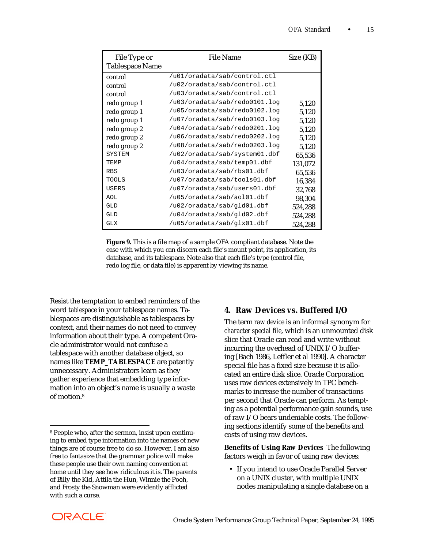| File Type or           | <b>File Name</b>              | Size (KB) |
|------------------------|-------------------------------|-----------|
| <b>Tablespace Name</b> |                               |           |
| control                | /u01/oradata/sab/control.ctl  |           |
| control                | /u02/oradata/sab/control.ctl  |           |
| control                | /u03/oradata/sab/control.ctl  |           |
| redo group 1           | /u03/oradata/sab/redo0101.log | 5,120     |
| redo group 1           | /u05/oradata/sab/redo0102.log | 5,120     |
| redo group 1           | /u07/oradata/sab/redo0103.log | 5,120     |
| redo group 2           | /u04/oradata/sab/redo0201.log | 5,120     |
| redo group 2           | /u06/oradata/sab/redo0202.log | 5,120     |
| redo group 2           | /u08/oradata/sab/redo0203.log | 5,120     |
| <b>SYSTEM</b>          | /u02/oradata/sab/system01.dbf | 65,536    |
| TEMP                   | /u04/oradata/sab/temp01.dbf   | 131,072   |
| <b>RBS</b>             | /u03/oradata/sab/rbs01.dbf    | 65,536    |
| TOOLS                  | /u07/oradata/sab/tools01.dbf  | 16,384    |
| <b>USERS</b>           | /u07/oradata/sab/users01.dbf  | 32,768    |
| AOL                    | /u05/oradata/sab/ao101.dbf    | 98,304    |
| GLD                    | /u02/oradata/sab/gld01.dbf    | 524,288   |
| GLD                    | /u04/oradata/sab/gld02.dbf    | 524,288   |
| <b>GLX</b>             | /u05/oradata/sab/qlx01.dbf    | 524,288   |

**Figure 9.** This is a file map of a sample OFA compliant database. Note the ease with which you can discern each file's mount point, its application, its database, and its tablespace. Note also that each file's type (control file, redo log file, or data file) is apparent by viewing its name.

Resist the temptation to embed reminders of the word *tablespace* in your tablespace names. Tablespaces are distinguishable as tablespaces by context, and their names do not need to convey information about their type. A competent Oracle administrator would not confuse a tablespace with another database object, so names like **TEMP\_TABLESPACE** are patently unnecessary. Administrators learn as they gather experience that embedding type information into an object's name is usually a waste of motion<sup>8</sup>

# **4. Raw Devices** *vs***. Buffered I/O**

The term *raw device* is an informal synonym for *character special file*, which is an unmounted disk slice that Oracle can read and write without incurring the overhead of UNIX I/O buffering [Bach 1986, Leffler et al 1990]. A character special file has a fixed size because it is allocated an entire disk slice. Oracle Corporation uses raw devices extensively in TPC benchmarks to increase the number of transactions per second that Oracle can perform. As tempting as a potential performance gain sounds, use of raw I/O bears undeniable costs. The following sections identify some of the benefits and costs of using raw devices.

**Benefits of Using Raw Devices** The following factors weigh in favor of using raw devices:

 • If you intend to use Oracle Parallel Server on a UNIX cluster, with multiple UNIX nodes manipulating a single database on a



<sup>8</sup> People who, after the sermon, insist upon continuing to embed type information into the names of new things are of course free to do so. However, I am also free to fantasize that the grammar police will make these people use their own naming convention at home until they see how ridiculous it is. The parents of Billy the Kid, Attila the Hun, Winnie the Pooh, and Frosty the Snowman were evidently afflicted with such a curse.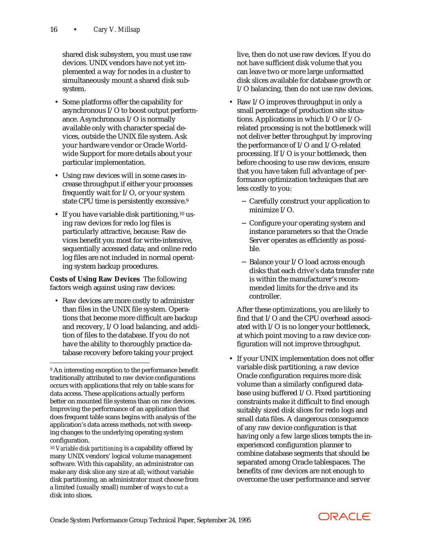shared disk subsystem, you must use raw devices. UNIX vendors have not yet implemented a way for nodes in a cluster to simultaneously mount a shared disk subsystem.

- Some platforms offer the capability for asynchronous I/O to boost output performance. Asynchronous I/O is normally available only with character special devices, outside the UNIX file system. Ask your hardware vendor or Oracle Worldwide Support for more details about your particular implementation.
- Using raw devices will in some cases increase throughput if either your processes frequently wait for I/O, or your system state CPU time is persistently excessive.9
- If you have variable disk partitioning,<sup>10</sup> using raw devices for redo log files is particularly attractive, because: Raw devices benefit you most for write-intensive, sequentially accessed data; and online redo log files are not included in normal operating system backup procedures.

**Costs of Using Raw Devices** The following factors weigh against using raw devices:

 • Raw devices are more costly to administer than files in the UNIX file system. Operations that become more difficult are backup and recovery, I/O load balancing, and addition of files to the database. If you do not have the ability to thoroughly practice database recovery before taking your project

 $\overline{a}$ 

live, then do not use raw devices. If you do not have sufficient disk volume that you can leave two or more large unformatted disk slices available for database growth or I/O balancing, then do not use raw devices.

- Raw I/O improves throughput in only a small percentage of production site situations. Applications in which I/O or I/Orelated processing is not the bottleneck will not deliver better throughput by improving the performance of I/O and I/O-related processing. If I/O is your bottleneck, then before choosing to use raw devices, ensure that you have taken full advantage of performance optimization techniques that are less costly to you:
	- − Carefully construct your application to minimize I/O.
	- − Configure your operating system and instance parameters so that the Oracle Server operates as efficiently as possible.
	- − Balance your I/O load across enough disks that each drive's data transfer rate is within the manufacturer's recommended limits for the drive and its controller.

 After these optimizations, you are likely to find that I/O and the CPU overhead associated with I/O is no longer your bottleneck, at which point moving to a raw device configuration will not improve throughput.

 • If your UNIX implementation does not offer variable disk partitioning, a raw device Oracle configuration requires more disk volume than a similarly configured database using buffered I/O. Fixed partitioning constraints make it difficult to find enough suitably sized disk slices for redo logs and small data files. A dangerous consequence of any raw device configuration is that having only a few large slices tempts the inexperienced configuration planner to combine database segments that should be separated among Oracle tablespaces. The benefits of raw devices are not enough to overcome the user performance and server



<sup>9</sup> An interesting exception to the performance benefit traditionally attributed to raw device configurations occurs with applications that rely on table scans for data access. These applications actually perform better on mounted file systems than on raw devices. Improving the performance of an application that does frequent table scans begins with analysis of the application's data access methods, not with sweeping changes to the underlying operating system configuration.

<sup>10</sup> *Variable disk partitioning* is a capability offered by many UNIX vendors' logical volume management software. With this capability, an administrator can make any disk slice any size at all; without variable disk partitioning, an administrator must choose from a limited (usually small) number of ways to cut a disk into slices.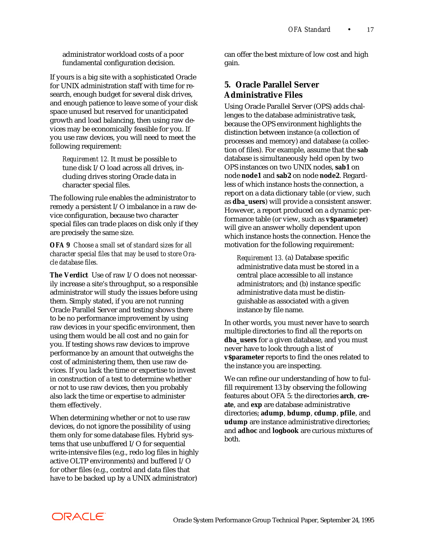administrator workload costs of a poor fundamental configuration decision.

If yours is a big site with a sophisticated Oracle for UNIX administration staff with time for research, enough budget for several disk drives, and enough patience to leave some of your disk space unused but reserved for unanticipated growth and load balancing, then using raw devices may be economically feasible for you. If you use raw devices, you will need to meet the following requirement:

*Requirement 12.* It must be possible to tune disk I/O load across all drives, including drives storing Oracle data in character special files.

The following rule enables the administrator to remedy a persistent I/O imbalance in a raw device configuration, because two character special files can trade places on disk only if they are precisely the same size.

*OFA 9 Choose a small set of standard sizes for all character special files that may be used to store Oracle database files.*

**The Verdict** Use of raw I/O does not necessarily increase a site's throughput, so a responsible administrator will study the issues before using them. Simply stated, if you are not running Oracle Parallel Server and testing shows there to be no performance improvement by using raw devices in your specific environment, then using them would be all cost and no gain for you. If testing shows raw devices to improve performance by an amount that outweighs the cost of administering them, then use raw devices. If you lack the time or expertise to invest in construction of a test to determine whether or not to use raw devices, then you probably also lack the time or expertise to administer them effectively.

When determining whether or not to use raw devices, do not ignore the possibility of using them only for some database files. Hybrid systems that use unbuffered I/O for sequential write-intensive files (e.g., redo log files in highly active OLTP environments) and buffered I/O for other files (e.g., control and data files that have to be backed up by a UNIX administrator)

can offer the best mixture of low cost and high gain.

# **5. Oracle Parallel Server Administrative Files**

Using Oracle Parallel Server (OPS) adds challenges to the database administrative task, because the OPS environment highlights the distinction between instance (a collection of processes and memory) and database (a collection of files). For example, assume that the **sab** database is simultaneously held open by two OPS instances on two UNIX nodes, **sab1** on node **node1** and **sab2** on node **node2**. Regardless of which instance hosts the connection, a report on a data dictionary table (or view, such as **dba\_users**) will provide a consistent answer. However, a report produced on a dynamic performance table (or view, such as **v\$parameter**) will give an answer wholly dependent upon which instance hosts the connection. Hence the motivation for the following requirement:

*Requirement 13.* (a) Database specific administrative data must be stored in a central place accessible to all instance administrators; and (b) instance specific administrative data must be distinguishable as associated with a given instance by file name.

In other words, you must never have to search multiple directories to find all the reports on **dba\_users** for a given database, and you must never have to look through a list of **v\$parameter** reports to find the ones related to the instance you are inspecting.

We can refine our understanding of how to fulfill requirement 13 by observing the following features about OFA 5: the directories **arch**, **create**, and **exp** are database administrative directories; **adump**, **bdump**, **cdump**, **pfile**, and **udump** are instance administrative directories; and **adhoc** and **logbook** are curious mixtures of both.

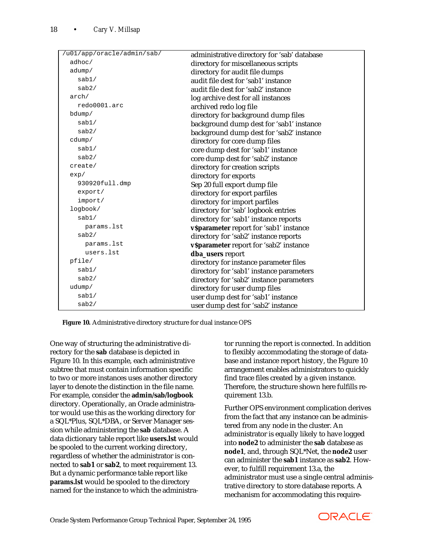| /u01/app/oracle/admin/sab/ | administrative directory for 'sab' database |
|----------------------------|---------------------------------------------|
| adhoc/                     | directory for miscellaneous scripts         |
| adump/                     | directory for audit file dumps              |
| sab1/                      | audit file dest for 'sab1' instance         |
| sab2/                      | audit file dest for 'sab2' instance         |
| arch/                      | log archive dest for all instances          |
| redo0001.arc               | archived redo log file                      |
| bdump/                     | directory for background dump files         |
| sab1/                      | background dump dest for 'sab1' instance    |
| sab2/                      | background dump dest for 'sab2' instance    |
| cdump/                     | directory for core dump files               |
| sab1/                      | core dump dest for 'sab1' instance          |
| sab2/                      | core dump dest for 'sab2' instance          |
| create/                    | directory for creation scripts              |
| exp/                       | directory for exports                       |
| 930920full.dmp             | Sep 20 full export dump file                |
| export/                    | directory for export parfiles               |
| import/                    | directory for import parfiles               |
| logbook/                   | directory for 'sab' logbook entries         |
| sab1/                      | directory for 'sab1' instance reports       |
| params.lst                 | v\$parameter report for 'sab1' instance     |
| sab2/                      | directory for 'sab2' instance reports       |
| params.lst                 | v\$parameter report for 'sab2' instance     |
| users.lst                  | dba_users report                            |
| pfile/                     | directory for instance parameter files      |
| sab1/                      | directory for 'sab1' instance parameters    |
| sab2/                      | directory for 'sab2' instance parameters    |
| udump/                     | directory for user dump files               |
| sab1/                      | user dump dest for 'sab1' instance          |
| sab2/                      | user dump dest for 'sab2' instance          |

**Figure 10.** Administrative directory structure for dual instance OPS

One way of structuring the administrative directory for the **sab** database is depicted in Figure 10. In this example, each administrative subtree that must contain information specific to two or more instances uses another directory layer to denote the distinction in the file name. For example, consider the **admin/sab/logbook** directory. Operationally, an Oracle administrator would use this as the working directory for a SQL\*Plus, SQL\*DBA, or Server Manager session while administering the **sab** database. A data dictionary table report like **users.lst** would be spooled to the current working directory, regardless of whether the administrator is connected to **sab1** or **sab2**, to meet requirement 13. But a dynamic performance table report like **params.lst** would be spooled to the directory named for the instance to which the administrator running the report is connected. In addition to flexibly accommodating the storage of database and instance report history, the Figure 10 arrangement enables administrators to quickly find trace files created by a given instance. Therefore, the structure shown here fulfills requirement 13.b.

Further OPS environment complication derives from the fact that any instance can be administered from any node in the cluster. An administrator is equally likely to have logged into **node2** to administer the **sab** database as **node1**, and, through SQL\*Net, the **node2** user can administer the **sab1** instance as **sab2**. However, to fulfill requirement 13.a, the administrator must use a single central administrative directory to store database reports. A mechanism for accommodating this require-

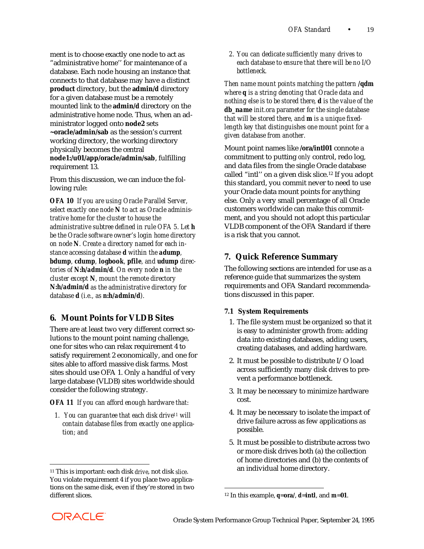ment is to choose exactly one node to act as "administrative home'' for maintenance of a database. Each node housing an instance that connects to that database may have a distinct **product** directory, but the **admin/***d* directory for a given database must be a remotely mounted link to the **admin/***d* directory on the administrative home node. Thus, when an administrator logged onto **node2** sets **~oracle/admin/sab** as the session's current working directory, the working directory physically becomes the central **node1:/u01/app/oracle/admin/sab**, fulfilling requirement 13.

From this discussion, we can induce the following rule:

*OFA 10 If you are using Oracle Parallel Server, select exactly one node N to act as Oracle administrative home for the cluster to house the administrative subtree defined in rule OFA 5. Let h be the Oracle software owner's login home directory on node N. Create a directory named for each instance accessing database d within the adump, bdump, cdump, logbook, pfile, and udump directories of N:h/admin/d. On every node n in the cluster except N, mount the remote directory N:h/admin/d as the administrative directory for database d (i.e., as n:h/admin/d).*

# **6. Mount Points for VLDB Sites**

There are at least two very different correct solutions to the mount point naming challenge, one for sites who can relax requirement 4 to satisfy requirement 2 economically, and one for sites able to afford massive disk farms. Most sites should use OFA 1. Only a handful of very large database (VLDB) sites worldwide should consider the following strategy.

#### *OFA 11 If you can afford enough hardware that:*

 *1. You can guarantee that each disk drive11 will contain database files from exactly one application; and*

 *2. You can dedicate sufficiently many drives to each database to ensure that there will be no I/O bottleneck.*

*Then name mount points matching the pattern /qdm where q is a string denoting that Oracle data and nothing else is to be stored there, d is the value of the db\_name init.ora parameter for the single database that will be stored there, and m is a unique fixedlength key that distinguishes one mount point for a given database from another.*

Mount point names like **/ora/intl01** connote a commitment to putting *only* control, redo log, and data files from the single Oracle database called "intl'' on a given disk slice.12 If you adopt this standard, you commit never to need to use your Oracle data mount points for anything else. Only a very small percentage of all Oracle customers worldwide can make this commitment, and you should not adopt this particular VLDB component of the OFA Standard if there is a risk that you cannot.

# **7. Quick Reference Summary**

The following sections are intended for use as a reference guide that summarizes the system requirements and OFA Standard recommendations discussed in this paper.

#### **7.1 System Requirements**

- 1. The file system must be organized so that it is easy to administer growth from: adding data into existing databases, adding users, creating databases, and adding hardware.
- 2. It must be possible to distribute I/O load across sufficiently many disk drives to prevent a performance bottleneck.
- 3. It may be necessary to minimize hardware cost.
- 4. It may be necessary to isolate the impact of drive failure across as few applications as possible.
- 5. It must be possible to distribute across two or more disk drives both (a) the collection of home directories and (b) the contents of an individual home directory.



 $\overline{a}$ 

<sup>11</sup> This is important: each disk *drive*, not disk *slice*. You violate requirement 4 if you place two applications on the same disk, even if they're stored in two different slices.

<sup>12</sup> In this example, *q*=**ora/**, *d*=**intl**, and *m*=**01**.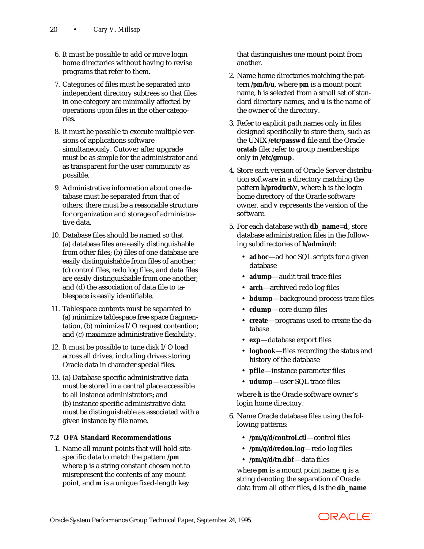- 6. It must be possible to add or move login home directories without having to revise programs that refer to them.
- 7. Categories of files must be separated into independent directory subtrees so that files in one category are minimally affected by operations upon files in the other categories.
- 8. It must be possible to execute multiple versions of applications software simultaneously. Cutover after upgrade must be as simple for the administrator and as transparent for the user community as possible.
- 9. Administrative information about one database must be separated from that of others; there must be a reasonable structure for organization and storage of administrative data.
- 10. Database files should be named so that (a) database files are easily distinguishable from other files; (b) files of one database are easily distinguishable from files of another; (c) control files, redo log files, and data files are easily distinguishable from one another; and (d) the association of data file to tablespace is easily identifiable.
- 11. Tablespace contents must be separated to (a) minimize tablespace free space fragmentation, (b) minimize I/O request contention; and (c) maximize administrative flexibility.
- 12. It must be possible to tune disk I/O load across all drives, including drives storing Oracle data in character special files.
- 13. (a) Database specific administrative data must be stored in a central place accessible to all instance administrators; and (b) instance specific administrative data must be distinguishable as associated with a given instance by file name.

# **7.2 OFA Standard Recommendations**

 1. Name all mount points that will hold sitespecific data to match the pattern **/***pm* where *p* is a string constant chosen not to misrepresent the contents of any mount point, and *m* is a unique fixed-length key

that distinguishes one mount point from another.

- 2. Name home directories matching the pattern **/***pm***/***h***/***u*, where *pm* is a mount point name, *h* is selected from a small set of standard directory names, and *u* is the name of the owner of the directory.
- 3. Refer to explicit path names only in files designed specifically to store them, such as the UNIX **/etc/passwd** file and the Oracle **oratab** file; refer to group memberships only in **/etc/group**.
- 4. Store each version of Oracle Server distribution software in a directory matching the pattern *h***/product/***v*, where *h* is the login home directory of the Oracle software owner, and *v* represents the version of the software.
- 5. For each database with **db\_name**=**d**, store database administration files in the following subdirectories of *h***/admin/***d*:
	- **adhoc**—ad hoc SQL scripts for a given database
	- **adump**—audit trail trace files
	- **arch**—archived redo log files
	- **bdump**—background process trace files
	- **cdump**—core dump files
	- **create**—programs used to create the database
	- **exp**—database export files
	- **logbook**—files recording the status and history of the database
	- **pfile**—instance parameter files
	- **udump**—user SQL trace files

 where *h* is the Oracle software owner's login home directory.

- 6. Name Oracle database files using the following patterns:
	- **/***pm***/***q***/***d***/control.ctl**—control files
	- **/***pm***/***q***/***d***/redo***n***.log**—redo log files
	- **/***pm***/***q***/***d***/***tn***.dbf**—data files

 where *pm* is a mount point name, *q* is a string denoting the separation of Oracle data from all other files, *d* is the **db\_name**

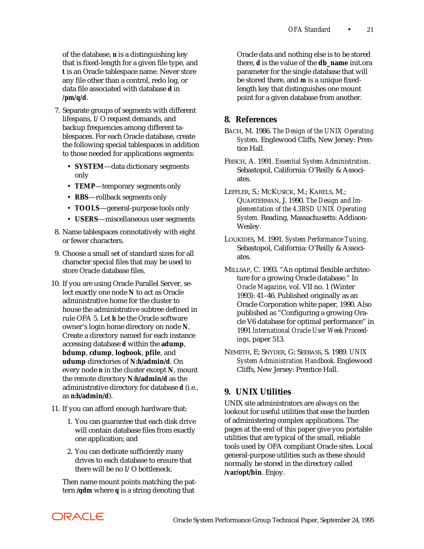of the database, *n* is a distinguishing key that is fixed-length for a given file type, and *t* is an Oracle tablespace name. Never store any file other than a control, redo log, or data file associated with database *d* in */pm/q/d*.

- 7. Separate groups of segments with different lifespans, I/O request demands, and backup frequencies among different tablespaces. For each Oracle database, create the following special tablespaces in addition to those needed for applications segments:
	- **SYSTEM**—data dictionary segments only
	- **TEMP**—temporary segments only
	- **RBS**—rollback segments only
	- **TOOLS**—general-purpose tools only
	- **USERS**—miscellaneous user segments
- 8. Name tablespaces connotatively with eight or fewer characters.
- 9. Choose a small set of standard sizes for all character special files that may be used to store Oracle database files.
- 10. If you are using Oracle Parallel Server, select exactly one node *N* to act as Oracle administrative home for the cluster to house the administrative subtree defined in rule OFA 5. Let *h* be the Oracle software owner's login home directory on node *N*. Create a directory named for each instance accessing database *d* within the **adump**, **bdump**, **cdump**, **logbook**, **pfile**, and **udump** directories of *N***:***h***/admin/***d*. On every node *n* in the cluster except *N*, mount the remote directory *N***:***h***/admin/***d* as the administrative directory for database *d* (i.e., as *n***:***h***/admin/***d*).
- 11. If you can afford enough hardware that:
	- 1. You can guarantee that each disk drive will contain database files from exactly one application; and
	- 2. You can dedicate sufficiently many drives to each database to ensure that there will be no I/O bottleneck.

 Then name mount points matching the pattern **/***qdm* where *q* is a string denoting that

Oracle data and nothing else is to be stored there, *d* is the value of the **db\_name** init.ora parameter for the single database that will be stored there, and *m* is a unique fixedlength key that distinguishes one mount point for a given database from another.

# **8. References**

- BACH, M. 1986. *The Design of the UNIX Operating System*. Englewood Cliffs, New Jersey: Prentice Hall.
- FRISCH, A. 1991. *Essential System Administration*. Sebastopol, California: O'Reilly & Associates.
- LEFFLER, S.; MCKUSICK, M.; KARELS, M.; QUARTERMAN, J. 1990. *The Design and Implementation of the 4.3BSD UNIX Operating System.* Reading, Massachusetts: Addison-Wesley.
- LOUKIDES, M. 1991. *System Performance Tuning*. Sebastopol, California: O'Reilly & Associates.
- MILLSAP, C. 1993. "An optimal flexible architecture for a growing Oracle database." In *Oracle Magazine*, vol. VII no. 1 (Winter 1993): 41–46. Published originally as an Oracle Corporation white paper, 1990. Also published as "Configuring a growing Oracle V6 database for optimal performance" in 1991 *International Oracle User Week Proceedings*, paper 513.
- NEMETH, E; SNYDER, G; SEEBASS, S. 1989. *UNIX System Administration Handbook*. Englewood Cliffs, New Jersey: Prentice Hall.

# **9. UNIX Utilities**

UNIX site administrators are always on the lookout for useful utilities that ease the burden of administering complex applications. The pages at the end of this paper give you portable utilities that are typical of the small, reliable tools used by OFA compliant Oracle sites. Local general-purpose utilities such as these should normally be stored in the directory called **/var/opt/bin**. Enjoy.

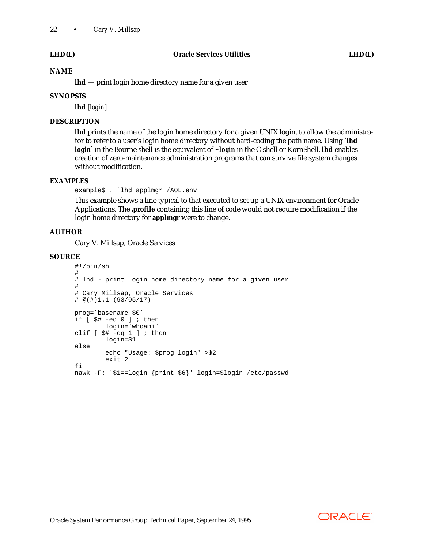#### **NAME**

**lhd** — print login home directory name for a given user

### **SYNOPSIS**

**lhd** [*login*]

#### **DESCRIPTION**

**lhd** prints the name of the login home directory for a given UNIX login, to allow the administrator to refer to a user's login home directory without hard-coding the path name. Using **`lhd** *login***`** in the Bourne shell is the equivalent of **~***login* in the C shell or KornShell. **lhd** enables creation of zero-maintenance administration programs that can survive file system changes without modification.

### **EXAMPLES**

example\$ . `lhd applmgr`/AOL.env

This example shows a line typical to that executed to set up a UNIX environment for Oracle Applications. The **.profile** containing this line of code would not require modification if the login home directory for **applmgr** were to change.

#### **AUTHOR**

Cary V. Millsap, Oracle Services

#### **SOURCE**

```
#!/bin/sh
#
# lhd - print login home directory name for a given user
#
# Cary Millsap, Oracle Services
\stackrel{\cdot}{\#} @(\stackrel{\cdot}{\#})1.1 (93/05/17)
prog=`basename $0`
if [ $# -eq 0 ] ; then
          login=`whoami`
elif [ $# -eq 1 ] ; then
          login=$1
else
          echo "Usage: $prog login" >$2
          exit 2
fi
nawk -F: '$1==login {print $6}' login=$login /etc/passwd
```